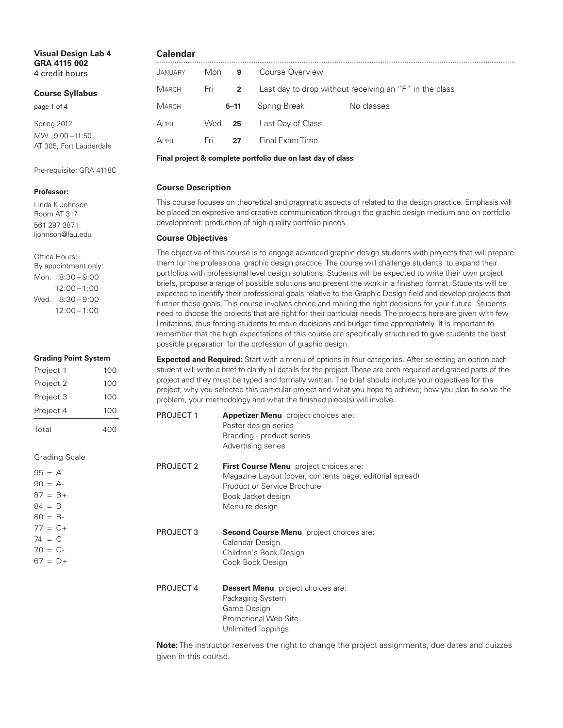#### **Visual Design Lab 4 GRA 4115 002** 4 credit hours

#### **Course Syllabus**

page 1 of 4

Spring 2012 MW. 9:00 –11:50 AT 305, Fort Lauderdale

Pre-requisite: GRA 4118C

#### **Professor:**

Linda K Johnson Room AT 317 561 297 3871 ljohnson@fau.edu

Office Hours: By appointment only: Mon. 8:30 – 9:00 12:00 –1:00 Wed. 8:30-9:00 12:00 –1:00

#### **Grading Point System**

| Project 1 | 100 |
|-----------|-----|
| Project 2 | 100 |
| Project 3 | 100 |
| Project 4 | 100 |
| Total     | 400 |

Grading Scale

| $95 = A$   |            |
|------------|------------|
| $90 = A$   |            |
|            | $87 = B +$ |
| $84 = B$   |            |
| $80 = B -$ |            |
|            | $77 = C +$ |
| $74 = C$   |            |
| $70 = C -$ |            |
|            | $67 = D +$ |
|            |            |

# **Calendar**

| JANUARY | Mon      | 9        | Course Overview                                        |            |
|---------|----------|----------|--------------------------------------------------------|------------|
| Мавсн   | Fri 2    |          | Last day to drop without receiving an "F" in the class |            |
| Мавсн   |          | $5 - 11$ | Spring Break                                           | No classes |
| April   | $Wed$ 25 |          | Last Day of Class                                      |            |
| April   | Fri      | 27       | Final Exam Time                                        |            |

**Final project & complete portfolio due on last day of class**

# **Course Description**

This course focuses on theoretical and pragmatic aspects of related to the design practice. Emphasis will be placed on expresive and creative communication through the graphic design medium and on portfolio development: production of high-quality portfolio pieces.

# **Course Objectives**

The objective of this course is to engage advanced graphic design students with projects that will prepare them for the professional graphic design practice.The course will challenge students to expand their portfolios with professional level design solutions. Students will be expected to write their own project briefs, propose a range of possible solutions and present the work in a finished format. Students will be expected to identify their professional goals relative to the Graphic Design field and develop projects that further those goals.This course involves choice and making the right decisions for your future. Students need to choose the projects that are right for their particular needs.The projects here are given with few limitations, thus forcing students to make decisions and budget time appropriately. It is important to remember that the high expectations of this course are specifically structured to give students the best possible preparation for the profession of graphic design.

**Expected and Required:** Start with a menu of options in four categories. After selecting an option each student will write a brief to clarify all details for the project.These are both required and graded parts of the project and they must be typed and formally written.The brief should include your objectives for the project; why you selected this particular project and what you hope to achieve; how you plan to solve the problem, your methodology and what the finished piece(s) will involve.

| PROJECT 1            | <b>Appetizer Menu</b> project choices are:<br>Poster design series<br>Branding - product series<br>Advertising series                                                     |
|----------------------|---------------------------------------------------------------------------------------------------------------------------------------------------------------------------|
| PROJECT <sub>2</sub> | First Course Menu project choices are:<br>Magazine Layout (cover, contents page, editorial spread)<br>Product or Service Brochure<br>Book Jacket design<br>Menu re-design |
| PROJECT 3            | <b>Second Course Menu</b> project choices are:<br>Calendar Design<br>Children's Book Design<br>Cook Book Design                                                           |
| PROJECT 4            | <b>Dessert Menu</b> project choices are:<br>Packaging System<br>Game Design<br><b>Promotional Web Site</b><br>Unlimited Toppings                                          |

**Note:** The instructor reserves the right to change the project assignments, due dates and quizzes given in this course.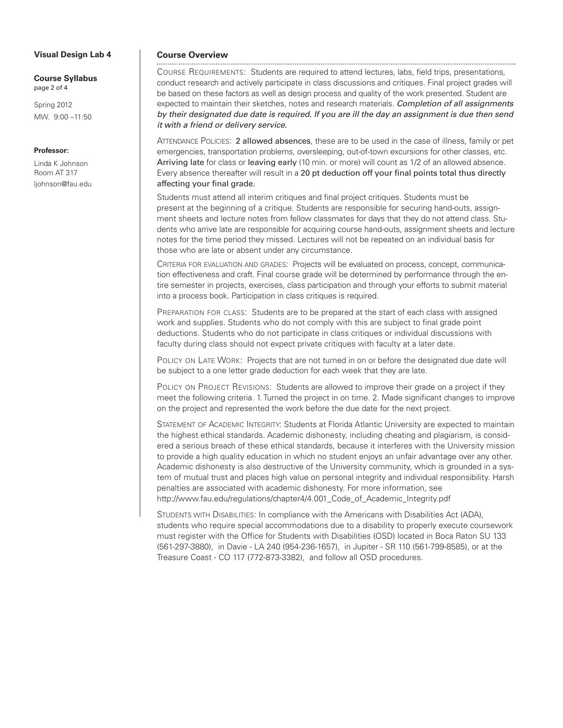#### **Visual Design Lab 4**

**Course Syllabus** page 2 of 4

Spring 2012 MW. 9:00 –11:50

# **Professor:**

Linda K Johnson Room AT 317 ljohnson@fau.edu

#### **Course Overview**

COURSE REQUIREMENTS: Students are required to attend lectures, labs, field trips, presentations, conduct research and actively participate in class discussions and critiques. Final project grades will be based on these factors as well as design process and quality of the work presented. Student are expected to maintain their sketches, notes and research materials. *Completion of all assignments by their designated due date is required. If you are ill the day an assignment is due then send it with a friend or delivery service.*

ATTENDANCE POLICIES: 2 allowed absences, these are to be used in the case of illness, family or pet emergencies, transportation problems, oversleeping, out-of-town excursions for other classes, etc. Arriving late for class or leaving early (10 min. or more) will count as 1/2 of an allowed absence. Every absence thereafter will result in a 20 pt deduction off your final points total thus directly affecting your final grade.

Students must attend all interim critiques and final project critiques. Students must be present at the beginning of a critique. Students are responsible for securing hand-outs, assignment sheets and lecture notes from fellow classmates for days that they do not attend class. Students who arrive late are responsible for acquiring course hand-outs, assignment sheets and lecture notes for the time period they missed. Lectures will not be repeated on an individual basis for those who are late or absent under any circumstance.

CRITERIA FOR EVALUATION AND GRADES: Projects will be evaluated on process, concept, communication effectiveness and craft. Final course grade will be determined by performance through the entire semester in projects, exercises, class participation and through your efforts to submit material into a process book. Participation in class critiques is required.

PREPARATION FOR CLASS: Students are to be prepared at the start of each class with assigned work and supplies. Students who do not comply with this are subject to final grade point deductions. Students who do not participate in class critiques or individual discussions with faculty during class should not expect private critiques with faculty at a later date.

POLICY ON LATE WORK: Projects that are not turned in on or before the designated due date will be subject to a one letter grade deduction for each week that they are late.

POLICY ON PROJECT REVISIONS: Students are allowed to improve their grade on a project if they meet the following criteria. 1. Turned the project in on time. 2. Made significant changes to improve on the project and represented the work before the due date for the next project.

STATEMENT OF ACADEMIC INTEGRITY: Students at Florida Atlantic University are expected to maintain the highest ethical standards. Academic dishonesty, including cheating and plagiarism, is considered a serious breach of these ethical standards, because it interferes with the University mission to provide a high quality education in which no student enjoys an unfair advantage over any other. Academic dishonesty is also destructive of the University community, which is grounded in a system of mutual trust and places high value on personal integrity and individual responsibility. Harsh penalties are associated with academic dishonesty. For more information, see http://www.fau.edu/regulations/chapter4/4.001\_Code\_of\_Academic\_Integrity.pdf

STUDENTS WITH DISABILITIES: In compliance with the Americans with Disabilities Act (ADA), students who require special accommodations due to a disability to properly execute coursework must register with the Office for Students with Disabilities (OSD) located in Boca Raton SU 133 (561-297-3880), in Davie - LA 240 (954-236-1657), in Jupiter - SR 110 (561-799-8585), or at the Treasure Coast - CO 117 (772-873-3382), and follow all OSD procedures.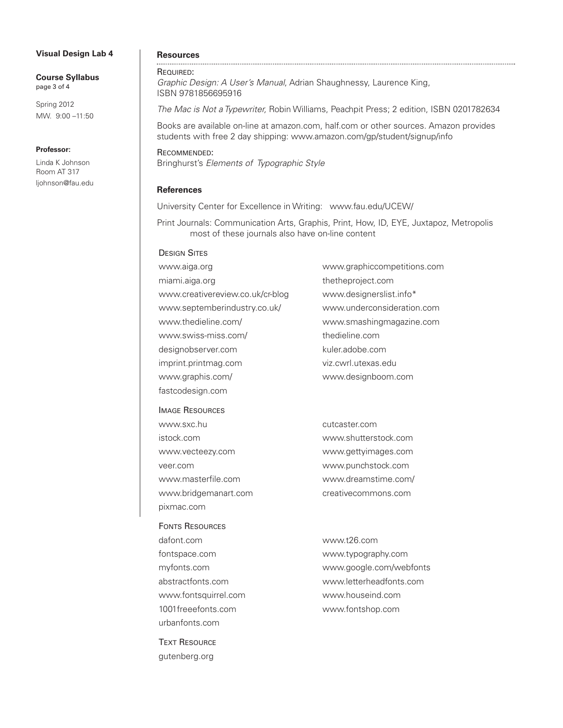#### **Visual Design Lab 4**

**Course Syllabus** page 3 of 4

Spring 2012 MW. 9:00 –11:50

#### **Professor:**

Linda K Johnson Room AT 317 ljohnson@fau.edu

# **Resources**

# REQUIRED:

*Graphic Design: A User's Manual*, Adrian Shaughnessy, Laurence King, ISBN 9781856695916

*The Mac is Not a Typewriter,* Robin Williams, Peachpit Press; 2 edition, ISBN 0201782634

Books are available on-line at amazon.com, half.com or other sources. Amazon provides students with free 2 day shipping: www.amazon.com/gp/student/signup/info

RECOMMENDED: Bringhurst's *Elements of Typographic Style*

#### **References**

University Center for Excellence in Writing: www.fau.edu/UCEW/

Print Journals: Communication Arts, Graphis, Print, How, ID, EYE, Juxtapoz, Metropolis most of these journals also have on-line content

# **DESIGN SITES**

| www.aiga.org                     | www.graphiccompetitions.com |
|----------------------------------|-----------------------------|
| miami.aiga.org                   | thetheproject.com           |
| www.creativereview.co.uk/cr-blog | www.designerslist.info*     |
| www.septemberindustry.co.uk/     | www.underconsideration.com  |
| www.thedieline.com/              | www.smashingmagazine.com    |
| www.swiss-miss.com/              | thedieline.com              |
| designobserver.com               | kuler.adobe.com             |
| imprint.printmag.com             | viz.cwrl.utexas.edu         |
| www.graphis.com/                 | www.designboom.com          |
| fastcodesign.com                 |                             |

IMAGE RESOURCES www.sxc.hu cutcaster.com istock.com www.shutterstock.com www.vecteezy.com www.gettyimages.com veer.com www.punchstock.com www.masterfile.com www.dreamstime.com/ www.bridgemanart.com creativecommons.com pixmac.com

FONTS RESOURCES dafont.com www.t26.com fontspace.com www.typography.com myfonts.com www.google.com/webfonts abstractfonts.com www.letterheadfonts.com www.fontsquirrel.com www.houseind.com 1001freeefonts.com www.fontshop.com urbanfonts.com

**TEXT RESOURCE** gutenberg.org